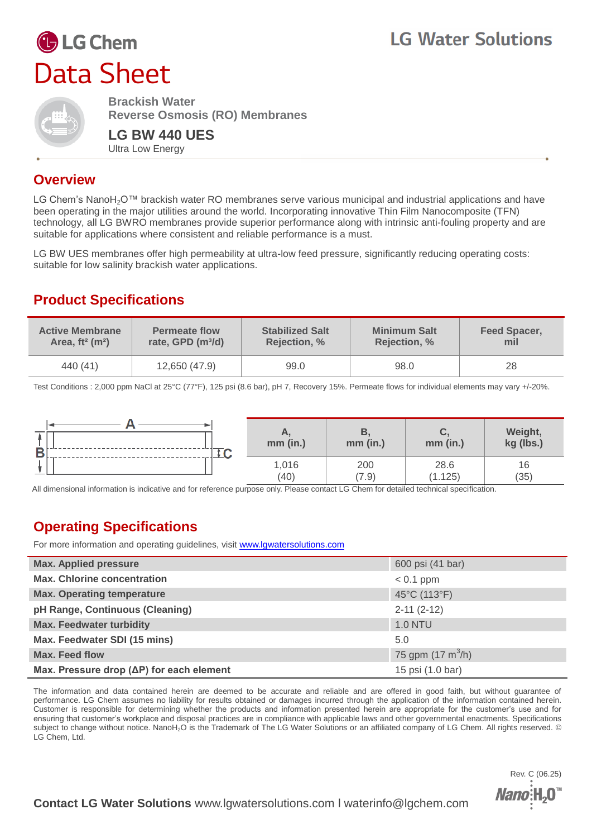# **G** LG Chem Data Sheet



**Brackish Water Reverse Osmosis (RO) Membranes**

**LG BW 440 UES** Ultra Low Energy

#### **Overview**

LG Chem's NanoH<sub>2</sub>O™ brackish water RO membranes serve various municipal and industrial applications and have been operating in the major utilities around the world. Incorporating innovative Thin Film Nanocomposite (TFN) technology, all LG BWRO membranes provide superior performance along with intrinsic anti-fouling property and are suitable for applications where consistent and reliable performance is a must.

LG BW UES membranes offer high permeability at ultra-low feed pressure, significantly reducing operating costs: suitable for low salinity brackish water applications.

## **Product Specifications**

| <b>Active Membrane</b>         | <b>Permeate flow</b>          | <b>Stabilized Salt</b> | <b>Minimum Salt</b> | <b>Feed Spacer,</b> |
|--------------------------------|-------------------------------|------------------------|---------------------|---------------------|
| Area, $ft^2$ (m <sup>2</sup> ) | rate, GPD (m <sup>3</sup> /d) | <b>Rejection, %</b>    | <b>Rejection, %</b> | mil                 |
| 440 (41)                       | 12,650 (47.9)                 | 99.0                   | 98.0                | 28                  |

Test Conditions : 2,000 ppm NaCl at 25°C (77°F), 125 psi (8.6 bar), pH 7, Recovery 15%. Permeate flows for individual elements may vary +/-20%.



All dimensional information is indicative and for reference purpose only. Please contact LG Chem for detailed technical specification.

### **Operating Specifications**

For more information and operating guidelines, visit [www.lgwatersolutions.com](http://www.lgwatersolutions.com/)

| <b>Max. Applied pressure</b>                     | 600 psi (41 bar)                   |
|--------------------------------------------------|------------------------------------|
| <b>Max. Chlorine concentration</b>               | $< 0.1$ ppm                        |
| <b>Max. Operating temperature</b>                | 45°C (113°F)                       |
| pH Range, Continuous (Cleaning)                  | $2-11(2-12)$                       |
| <b>Max. Feedwater turbidity</b>                  | <b>1.0 NTU</b>                     |
| Max. Feedwater SDI (15 mins)                     | 5.0                                |
| <b>Max. Feed flow</b>                            | 75 gpm $(17 \text{ m}^3/\text{h})$ |
| Max. Pressure drop $(\Delta P)$ for each element | 15 psi (1.0 bar)                   |

The information and data contained herein are deemed to be accurate and reliable and are offered in good faith, but without guarantee of performance. LG Chem assumes no liability for results obtained or damages incurred through the application of the information contained herein. Customer is responsible for determining whether the products and information presented herein are appropriate for the customer's use and for ensuring that customer's workplace and disposal practices are in compliance with applicable laws and other governmental enactments. Specifications subject to change without notice. NanoH<sub>2</sub>O is the Trademark of The LG Water Solutions or an affiliated company of LG Chem. All rights reserved. © LG Chem, Ltd.